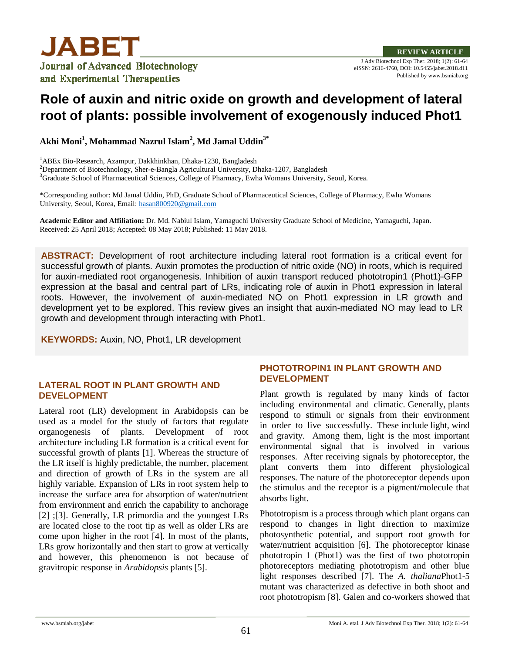

J Adv Biotechnol Exp Ther. 2018; 1(2): 61-64 eISSN: 2616-4760, DOI: 10.5455/jabet.2018.d11 Published by www.bsmiab.org

# **Role of auxin and nitric oxide on growth and development of lateral root of plants: possible involvement of exogenously induced Phot1**

**Akhi Moni<sup>1</sup> , Mohammad Nazrul Islam<sup>2</sup> , Md Jamal Uddin3\***

<sup>1</sup>ABEx Bio-Research, Azampur, Dakkhinkhan, Dhaka-1230, Bangladesh

<sup>2</sup>Department of Biotechnology, Sher-e-Bangla Agricultural University, Dhaka-1207, Bangladesh

<sup>3</sup>Graduate School of Pharmaceutical Sciences, College of Pharmacy, Ewha Womans University, Seoul, Korea.

\*Corresponding author: Md Jamal Uddin, PhD, Graduate School of Pharmaceutical Sciences, College of Pharmacy, Ewha Womans University, Seoul, Korea, Email[: hasan800920@gmail.com](mailto:hasan800920@gmail.com)

**Academic Editor and Affiliation:** Dr. Md. Nabiul Islam, Yamaguchi University Graduate School of Medicine, Yamaguchi, Japan. Received: 25 April 2018; Accepted: 08 May 2018; Published: 11 May 2018.

**ABSTRACT:** Development of root architecture including lateral root formation is a critical event for successful growth of plants. Auxin promotes the production of nitric oxide (NO) in roots, which is required for auxin-mediated root organogenesis. Inhibition of auxin transport reduced phototropin1 (Phot1)-GFP expression at the basal and central part of LRs, indicating role of auxin in Phot1 expression in lateral roots. However, the involvement of auxin-mediated NO on Phot1 expression in LR growth and development yet to be explored. This review gives an insight that auxin-mediated NO may lead to LR growth and development through interacting with Phot1.

**KEYWORDS:** Auxin, NO, Phot1, LR development

### **LATERAL ROOT IN PLANT GROWTH AND DEVELOPMENT**

Lateral root (LR) development in Arabidopsis can be used as a model for the study of factors that regulate organogenesis of plants. Development of root architecture including LR formation is a critical event for successful growth of plants [1]. Whereas the structure of the LR itself is highly predictable, the number, placement and direction of growth of LRs in the system are all highly variable. Expansion of LRs in root system help to increase the surface area for absorption of water/nutrient from environment and enrich the capability to anchorage [2] ;[3]. Generally, LR primordia and the youngest LRs are located close to the root tip as well as older LRs are come upon higher in the root [4]. In most of the plants, LRs grow horizontally and then start to grow at vertically and however, this phenomenon is not because of gravitropic response in *Arabidopsis* plants [5].

## **PHOTOTROPIN1 IN PLANT GROWTH AND DEVELOPMENT**

Plant growth is regulated by many kinds of factor including environmental and climatic. Generally, plants respond to stimuli or signals from their environment in order to live successfully. These include light, wind and gravity. Among them, light is the most important environmental signal that is involved in various responses. After receiving signals by photoreceptor, the plant converts them into different physiological responses. The nature of the photoreceptor depends upon the stimulus and the receptor is a pigment/molecule that absorbs light.

Phototropism is a process through which plant organs can respond to changes in light direction to maximize photosynthetic potential, and support root growth for water/nutrient acquisition [6]. The photoreceptor kinase phototropin 1 (Phot1) was the first of two phototropin photoreceptors mediating phototropism and other blue light responses described [7]. The *A. thaliana*Phot1-5 mutant was characterized as defective in both shoot and root phototropism [8]. Galen and co-workers showed that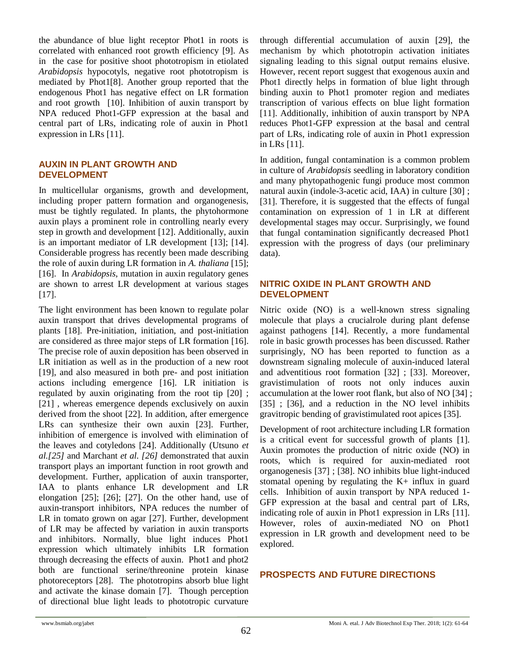the abundance of blue light receptor Phot1 in roots is correlated with enhanced root growth efficiency [9]. As in the case for positive shoot phototropism in etiolated *Arabidopsis* hypocotyls, negative root phototropism is mediated by Phot1[8]. Another group reported that the endogenous Phot1 has negative effect on LR formation and root growth [10]. Inhibition of auxin transport by NPA reduced Phot1-GFP expression at the basal and central part of LRs, indicating role of auxin in Phot1 expression in LRs [11].

#### **AUXIN IN PLANT GROWTH AND DEVELOPMENT**

In multicellular organisms, growth and development, including proper pattern formation and organogenesis, must be tightly regulated. In plants, the phytohormone auxin plays a prominent role in controlling nearly every step in growth and development [12]. Additionally, auxin is an important mediator of LR development [13]; [14]. Considerable progress has recently been made describing the role of auxin during LR formation in *A. thaliana* [15]; [16]. In *Arabidopsis*, mutation in auxin regulatory genes are shown to arrest LR development at various stages [17].

The light environment has been known to regulate polar auxin transport that drives developmental programs of plants [18]. Pre-initiation, initiation, and post-initiation are considered as three major steps of LR formation [16]. The precise role of auxin deposition has been observed in LR initiation as well as in the production of a new root [19], and also measured in both pre- and post initiation actions including emergence [16]. LR initiation is regulated by auxin originating from the root tip [20] ; [21], whereas emergence depends exclusively on auxin derived from the shoot [22]. In addition, after emergence LRs can synthesize their own auxin [23]. Further, inhibition of emergence is involved with elimination of the leaves and cotyledons [24]. Additionally (Utsuno *et al.[25]* and Marchant *et al. [26]* demonstrated that auxin transport plays an important function in root growth and development. Further, application of auxin transporter, IAA to plants enhance LR development and LR elongation [25]; [26]; [27]. On the other hand, use of auxin-transport inhibitors, NPA reduces the number of LR in tomato grown on agar [27]. Further, development of LR may be affected by variation in auxin transports and inhibitors. Normally, blue light induces Phot1 expression which ultimately inhibits LR formation through decreasing the effects of auxin. Phot1 and phot2 both are functional serine/threonine protein kinase photoreceptors [28]. The phototropins absorb blue light and activate the kinase domain [7]. Though perception of directional blue light leads to phototropic curvature

through differential accumulation of auxin [29], the mechanism by which phototropin activation initiates signaling leading to this signal output remains elusive. However, recent report suggest that exogenous auxin and Phot1 directly helps in formation of blue light through binding auxin to Phot1 promoter region and mediates transcription of various effects on blue light formation [11]. Additionally, inhibition of auxin transport by NPA reduces Phot1-GFP expression at the basal and central part of LRs, indicating role of auxin in Phot1 expression in LRs [11].

In addition, fungal contamination is a common problem in culture of *Arabidopsis* seedling in laboratory condition and many phytopathogenic fungi produce most common natural auxin (indole-3-acetic acid, IAA) in culture [30] ; [31]. Therefore, it is suggested that the effects of fungal contamination on expression of 1 in LR at different developmental stages may occur. Surprisingly, we found that fungal contamination significantly decreased Phot1 expression with the progress of days (our preliminary data).

#### **NITRIC OXIDE IN PLANT GROWTH AND DEVELOPMENT**

Nitric oxide (NO) is a well-known stress signaling molecule that plays a crucialrole during plant defense against pathogens [14]. Recently, a more fundamental role in basic growth processes has been discussed. Rather surprisingly, NO has been reported to function as a downstream signaling molecule of auxin-induced lateral and adventitious root formation [32] ; [33]. Moreover, gravistimulation of roots not only induces auxin accumulation at the lower root flank, but also of NO [34] ; [35] ; [36], and a reduction in the NO level inhibits gravitropic bending of gravistimulated root apices [35].

Development of root architecture including LR formation is a critical event for successful growth of plants [1]. Auxin promotes the production of nitric oxide (NO) in roots, which is required for auxin-mediated root organogenesis [37] ; [38]. NO inhibits blue light-induced stomatal opening by regulating the K+ influx in guard cells. Inhibition of auxin transport by NPA reduced 1- GFP expression at the basal and central part of LRs, indicating role of auxin in Phot1 expression in LRs [11]. However, roles of auxin-mediated NO on Phot1 expression in LR growth and development need to be explored.

#### **PROSPECTS AND FUTURE DIRECTIONS**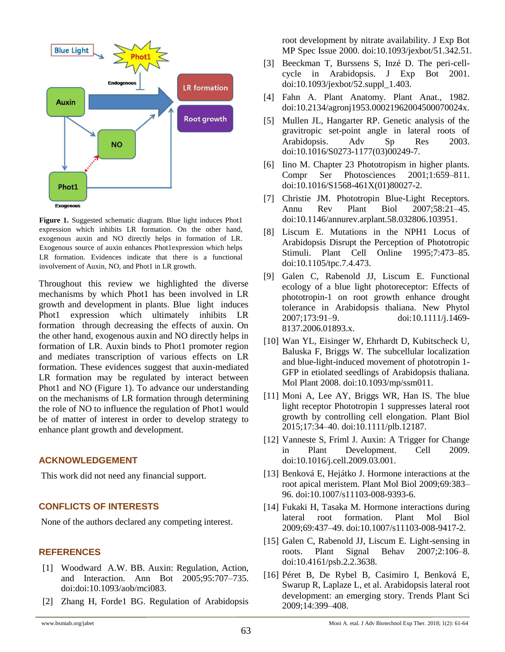

**Figure 1.** Suggested schematic diagram. Blue light induces Phot1 expression which inhibits LR formation. On the other hand, exogenous auxin and NO directly helps in formation of LR. Exogenous source of auxin enhances Phot1expression which helps LR formation. Evidences indicate that there is a functional involvement of Auxin, NO, and Phot1 in LR growth.

Throughout this review we highlighted the diverse mechanisms by which Phot1 has been involved in LR growth and development in plants. Blue light induces Phot1 expression which ultimately inhibits LR formation through decreasing the effects of auxin. On the other hand, exogenous auxin and NO directly helps in formation of LR. Auxin binds to Phot1 promoter region and mediates transcription of various effects on LR formation. These evidences suggest that auxin-mediated LR formation may be regulated by interact between Phot1 and NO (Figure 1). To advance our understanding on the mechanisms of LR formation through determining the role of NO to influence the regulation of Phot1 would be of matter of interest in order to develop strategy to enhance plant growth and development.

#### **ACKNOWLEDGEMENT**

This work did not need any financial support.

## **CONFLICTS OF INTERESTS**

None of the authors declared any competing interest.

#### **REFERENCES**

- [1] Woodward A.W. BB. Auxin: Regulation, Action, and Interaction. Ann Bot 2005;95:707–735. doi:doi:10.1093/aob/mci083.
- [2] Zhang H, Forde1 BG. Regulation of Arabidopsis
- [3] Beeckman T, Burssens S, Inzé D. The peri-cellcycle in Arabidopsis. J Exp Bot 2001. doi:10.1093/jexbot/52.suppl\_1.403.
- [4] Fahn A. Plant Anatomy. Plant Anat., 1982. doi:10.2134/agronj1953.00021962004500070024x.
- [5] Mullen JL, Hangarter RP. Genetic analysis of the gravitropic set-point angle in lateral roots of Arabidopsis. Adv Sp Res 2003. doi:10.1016/S0273-1177(03)00249-7.
- [6] Iino M. Chapter 23 Phototropism in higher plants. Compr Ser Photosciences 2001;1:659–811. doi:10.1016/S1568-461X(01)80027-2.
- [7] Christie JM. Phototropin Blue-Light Receptors. Annu Rev Plant Biol 2007;58:21–45. doi:10.1146/annurev.arplant.58.032806.103951.
- [8] Liscum E. Mutations in the NPH1 Locus of Arabidopsis Disrupt the Perception of Phototropic Stimuli. Plant Cell Online 1995;7:473–85. doi:10.1105/tpc.7.4.473.
- [9] Galen C, Rabenold JJ, Liscum E. Functional ecology of a blue light photoreceptor: Effects of phototropin-1 on root growth enhance drought tolerance in Arabidopsis thaliana. New Phytol 2007;173:91–9. doi:10.1111/j.1469- 8137.2006.01893.x.
- [10] Wan YL, Eisinger W, Ehrhardt D, Kubitscheck U, Baluska F, Briggs W. The subcellular localization and blue-light-induced movement of phototropin 1- GFP in etiolated seedlings of Arabidopsis thaliana. Mol Plant 2008. doi:10.1093/mp/ssm011.
- [11] Moni A, Lee AY, Briggs WR, Han IS. The blue light receptor Phototropin 1 suppresses lateral root growth by controlling cell elongation. Plant Biol 2015;17:34–40. doi:10.1111/plb.12187.
- [12] Vanneste S, Friml J. Auxin: A Trigger for Change in Plant Development. Cell 2009. doi:10.1016/j.cell.2009.03.001.
- [13] Benková E, Hejátko J. Hormone interactions at the root apical meristem. Plant Mol Biol 2009;69:383– 96. doi:10.1007/s11103-008-9393-6.
- [14] Fukaki H, Tasaka M. Hormone interactions during lateral root formation. Plant Mol Biol 2009;69:437–49. doi:10.1007/s11103-008-9417-2.
- [15] Galen C, Rabenold JJ, Liscum E. Light-sensing in roots. Plant Signal Behav 2007;2:106–8. doi:10.4161/psb.2.2.3638.
- [16] Péret B, De Rybel B, Casimiro I, Benková E, Swarup R, Laplaze L, et al. Arabidopsis lateral root development: an emerging story. Trends Plant Sci 2009;14:399–408.

root development by nitrate availability. J Exp Bot MP Spec Issue 2000. doi:10.1093/jexbot/51.342.51.